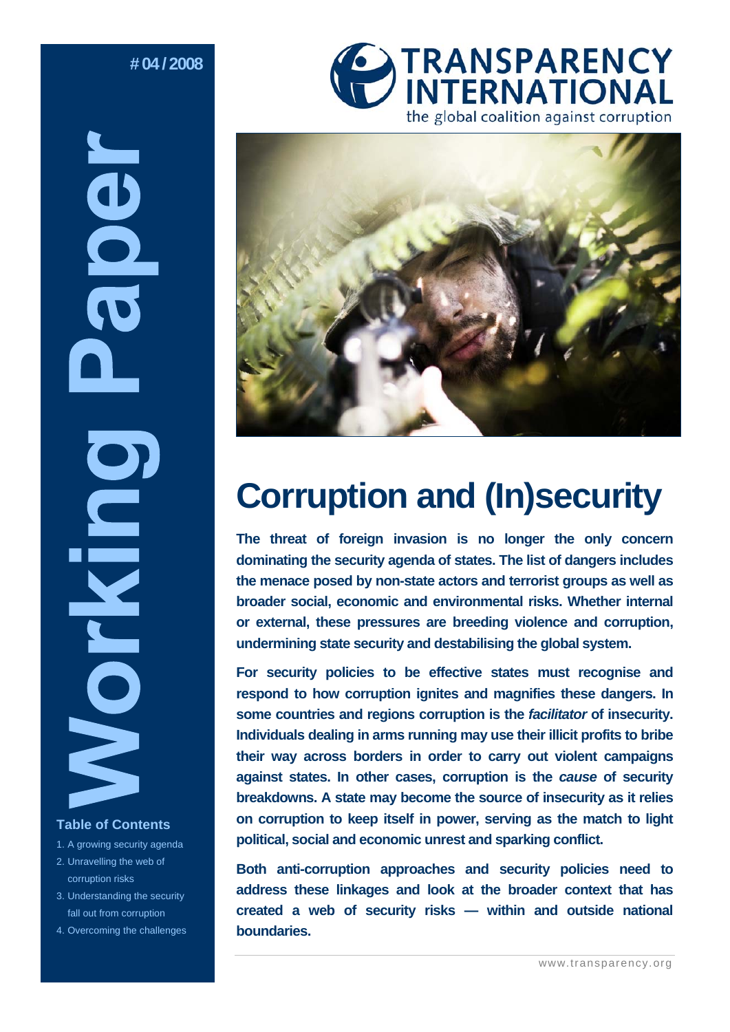# **# 04 / 2008**

**NBOD** ICKIN **Table of Contents** 

- 1. A growing security agenda 2. Unravelling the web of
- corruption risks
- 3. Understanding the security fall out from corruption
- 4. Overcoming the challenges





# **Corruption and (In)security**

**The threat of foreign invasion is no longer the only concern dominating the security agenda of states. The list of dangers includes the menace posed by non-state actors and terrorist groups as well as broader social, economic and environmental risks. Whether internal or external, these pressures are breeding violence and corruption, undermining state security and destabilising the global system.** 

**For security policies to be effective states must recognise and respond to how corruption ignites and magnifies these dangers. In some countries and regions corruption is the** *facilitator* **of insecurity. Individuals dealing in arms running may use their illicit profits to bribe their way across borders in order to carry out violent campaigns against states. In other cases, corruption is the** *cause* **of security breakdowns. A state may become the source of insecurity as it relies on corruption to keep itself in power, serving as the match to light political, social and economic unrest and sparking conflict.** 

**Both anti-corruption approaches and security policies need to address these linkages and look at the broader context that has created a web of security risks — within and outside national boundaries.**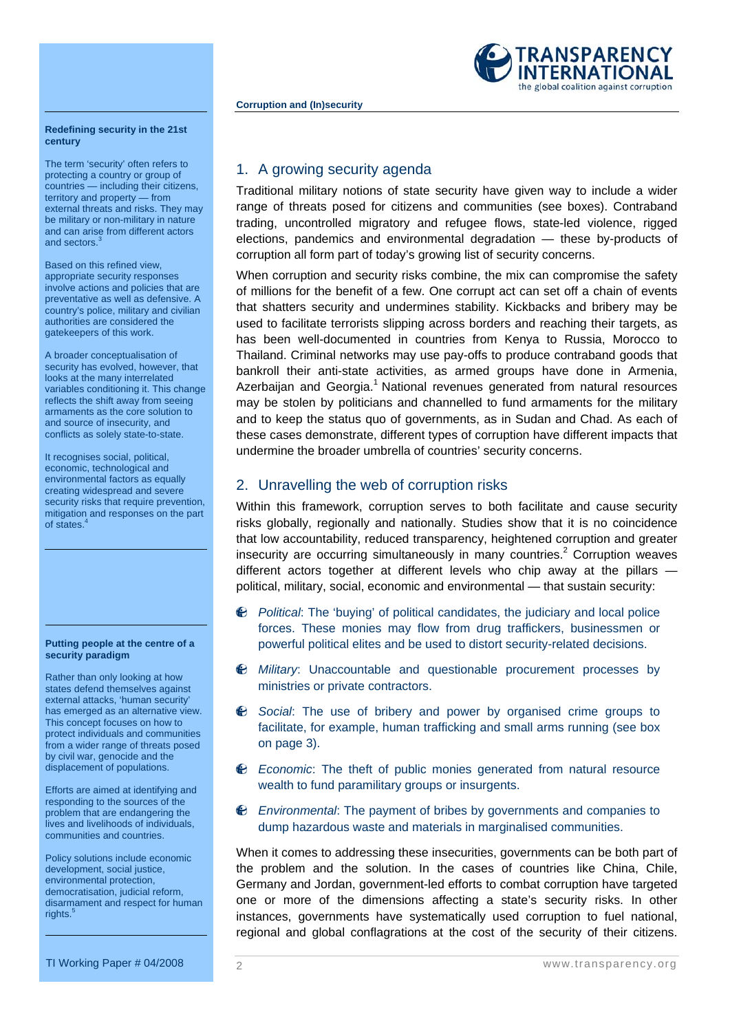

#### **Redefining security in the 21st century**

The term 'security' often refers to protecting a country or group of countries — including their citizens, territory and property — from external threats and risks. They may be military or non-military in nature and can arise from different actors and sectors.

Based on this refined view, appropriate security responses involve actions and policies that are preventative as well as defensive. A country's police, military and civilian authorities are considered the gatekeepers of this work.

A broader conceptualisation of security has evolved, however, that looks at the many interrelated variables conditioning it. This change reflects the shift away from seeing armaments as the core solution to and source of insecurity, and conflicts as solely state-to-state.

It recognises social, political, economic, technological and environmental factors as equally creating widespread and severe security risks that require prevention, mitigation and responses on the part of states.<sup>4</sup>

#### **Putting people at the centre of a security paradigm**

Rather than only looking at how states defend themselves against external attacks, 'human security' has emerged as an alternative view. This concept focuses on how to protect individuals and communities from a wider range of threats posed by civil war, genocide and the displacement of populations.

Efforts are aimed at identifying and responding to the sources of the problem that are endangering the lives and livelihoods of individuals, communities and countries.

Policy solutions include economic development, social justice, environmental protection, democratisation, judicial reform, disarmament and respect for human rights.

# TRANSPARENCY the global coalition against corruption

# 1. A growing security agenda

Traditional military notions of state security have given way to include a wider range of threats posed for citizens and communities (see boxes). Contraband trading, uncontrolled migratory and refugee flows, state-led violence, rigged elections, pandemics and environmental degradation — these by-products of corruption all form part of today's growing list of security concerns.

When corruption and security risks combine, the mix can compromise the safety of millions for the benefit of a few. One corrupt act can set off a chain of events that shatters security and undermines stability. Kickbacks and bribery may be used to facilitate terrorists slipping across borders and reaching their targets, as has been well-documented in countries from Kenya to Russia, Morocco to Thailand. Criminal networks may use pay-offs to produce contraband goods that bankroll their anti-state activities, as armed groups have done in Armenia, Azerbaijan and Georgia.<sup>1</sup> National revenues generated from natural resources may be stolen by politicians and channelled to fund armaments for the military and to keep the status quo of governments, as in Sudan and Chad. As each of these cases demonstrate, different types of corruption have different impacts that undermine the broader umbrella of countries' security concerns.

# 2. Unravelling the web of corruption risks

Within this framework, corruption serves to both facilitate and cause security risks globally, regionally and nationally. Studies show that it is no coincidence that low accountability, reduced transparency, heightened corruption and greater insecurity are occurring simultaneously in many countries. $2$  Corruption weaves different actors together at different levels who chip away at the pillars political, military, social, economic and environmental — that sustain security:

- *Political*: The 'buying' of political candidates, the judiciary and local police forces. These monies may flow from drug traffickers, businessmen or powerful political elites and be used to distort security-related decisions.
- *Military*: Unaccountable and questionable procurement processes by ministries or private contractors.
- *Social*: The use of bribery and power by organised crime groups to facilitate, for example, human trafficking and small arms running (see box on page 3).
- *Economic*: The theft of public monies generated from natural resource wealth to fund paramilitary groups or insurgents.
- *Environmental*: The payment of bribes by governments and companies to dump hazardous waste and materials in marginalised communities.

When it comes to addressing these insecurities, governments can be both part of the problem and the solution. In the cases of countries like China, Chile, Germany and Jordan, government-led efforts to combat corruption have targeted one or more of the dimensions affecting a state's security risks. In other instances, governments have systematically used corruption to fuel national, regional and global conflagrations at the cost of the security of their citizens.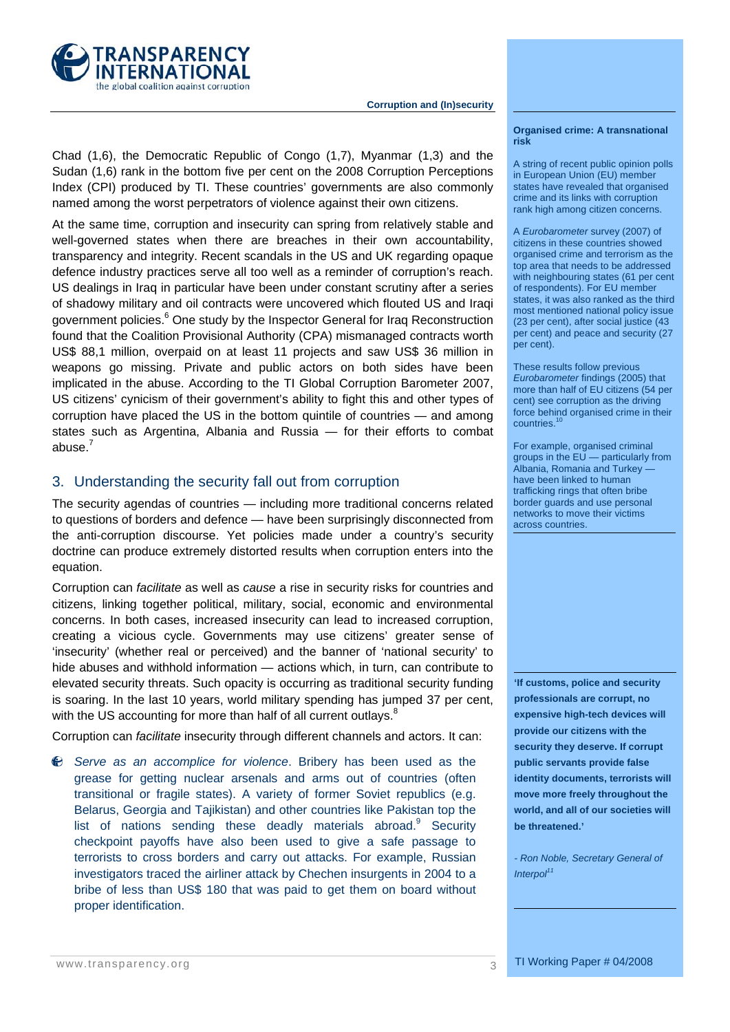

Chad (1,6), the Democratic Republic of Congo (1,7), Myanmar (1,3) and the Sudan (1,6) rank in the bottom five per cent on the 2008 Corruption Perceptions Index (CPI) produced by TI. These countries' governments are also commonly named among the worst perpetrators of violence against their own citizens.

At the same time, corruption and insecurity can spring from relatively stable and well-governed states when there are breaches in their own accountability, transparency and integrity. Recent scandals in the US and UK regarding opaque defence industry practices serve all too well as a reminder of corruption's reach. US dealings in Iraq in particular have been under constant scrutiny after a series of shadowy military and oil contracts were uncovered which flouted US and Iraqi government policies.<sup>6</sup> One study by the Inspector General for Iraq Reconstruction found that the Coalition Provisional Authority (CPA) mismanaged contracts worth US\$ 88,1 million, overpaid on at least 11 projects and saw US\$ 36 million in weapons go missing. Private and public actors on both sides have been implicated in the abuse. According to the TI Global Corruption Barometer 2007, US citizens' cynicism of their government's ability to fight this and other types of corruption have placed the US in the bottom quintile of countries — and among states such as Argentina, Albania and Russia — for their efforts to combat abuse. $^7$ 

# 3. Understanding the security fall out from corruption

The security agendas of countries — including more traditional concerns related to questions of borders and defence — have been surprisingly disconnected from the anti-corruption discourse. Yet policies made under a country's security doctrine can produce extremely distorted results when corruption enters into the equation.

Corruption can *facilitate* as well as *cause* a rise in security risks for countries and citizens, linking together political, military, social, economic and environmental concerns. In both cases, increased insecurity can lead to increased corruption, creating a vicious cycle. Governments may use citizens' greater sense of 'insecurity' (whether real or perceived) and the banner of 'national security' to hide abuses and withhold information — actions which, in turn, can contribute to elevated security threats. Such opacity is occurring as traditional security funding is soaring. In the last 10 years, world military spending has jumped 37 per cent, with the US accounting for more than half of all current outlays. $8$ 

Corruption can *facilitate* insecurity through different channels and actors. It can:

*Serve as an accomplice for violence*. Bribery has been used as the  $\bullet$ grease for getting nuclear arsenals and arms out of countries (often transitional or fragile states). A variety of former Soviet republics (e.g. Belarus, Georgia and Tajikistan) and other countries like Pakistan top the list of nations sending these deadly materials abroad.<sup>9</sup> Security checkpoint payoffs have also been used to give a safe passage to terrorists to cross borders and carry out attacks. For example, Russian investigators traced the airliner attack by Chechen insurgents in 2004 to a bribe of less than US\$ 180 that was paid to get them on board without proper identification.

#### **Organised crime: A transnational risk**

A string of recent public opinion polls in European Union (EU) member states have revealed that organised crime and its links with corruption rank high among citizen concerns.

A *Eurobarometer* survey (2007) of citizens in these countries showed organised crime and terrorism as the top area that needs to be addressed with neighbouring states (61 per cent of respondents). For EU member states, it was also ranked as the third most mentioned national policy issue (23 per cent), after social justice (43 per cent) and peace and security (27 per cent).

These results follow previous *Eurobarometer* findings (2005) that more than half of EU citizens (54 per cent) see corruption as the driving force behind organised crime in their countries.<sup>10</sup>

For example, organised criminal groups in the EU — particularly from Albania, Romania and Turkey have been linked to human trafficking rings that often bribe border guards and use personal networks to move their victims across countries.

**'If customs, police and security professionals are corrupt, no expensive high-tech devices will provide our citizens with the security they deserve. If corrupt public servants provide false identity documents, terrorists will move more freely throughout the world, and all of our societies will be threatened.'** 

*- Ron Noble, Secretary General of Interpol<sup>11</sup>*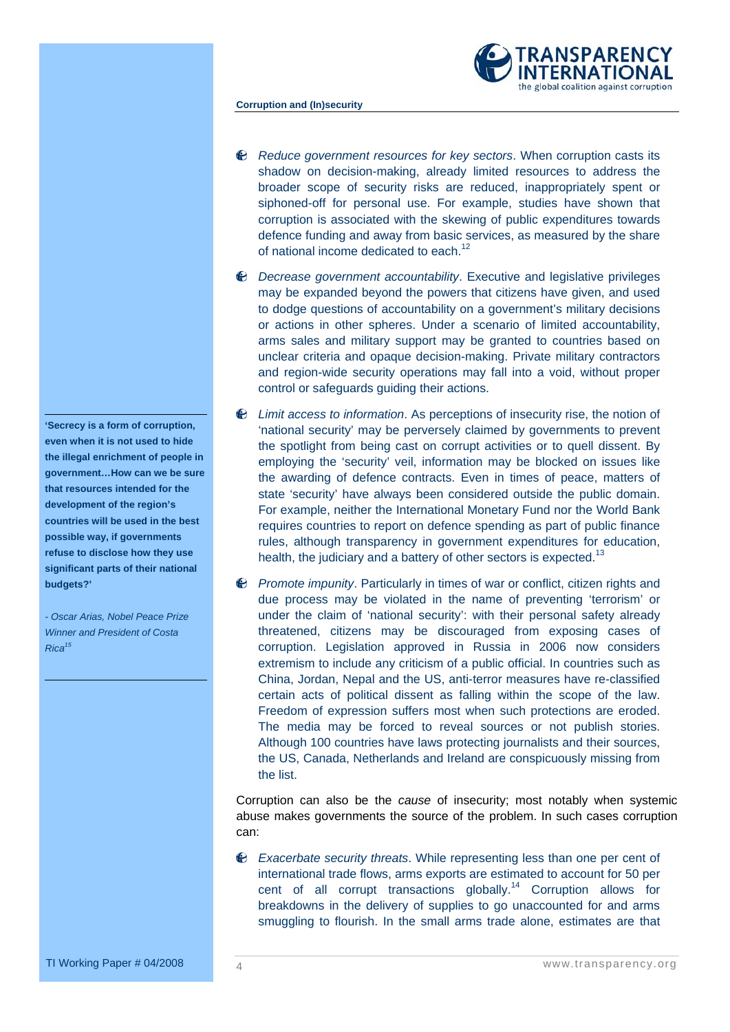

- *Reduce government resources for key sectors*. When corruption casts its shadow on decision-making, already limited resources to address the broader scope of security risks are reduced, inappropriately spent or siphoned-off for personal use. For example, studies have shown that corruption is associated with the skewing of public expenditures towards defence funding and away from basic services, as measured by the share of national income dedicated to each.<sup>12</sup>
- *Decrease government accountability*. Executive and legislative privileges may be expanded beyond the powers that citizens have given, and used to dodge questions of accountability on a government's military decisions or actions in other spheres. Under a scenario of limited accountability, arms sales and military support may be granted to countries based on unclear criteria and opaque decision-making. Private military contractors and region-wide security operations may fall into a void, without proper control or safeguards guiding their actions.
- *Limit access to information*. As perceptions of insecurity rise, the notion of 'national security' may be perversely claimed by governments to prevent the spotlight from being cast on corrupt activities or to quell dissent. By employing the 'security' veil, information may be blocked on issues like the awarding of defence contracts. Even in times of peace, matters of state 'security' have always been considered outside the public domain. For example, neither the International Monetary Fund nor the World Bank requires countries to report on defence spending as part of public finance rules, although transparency in government expenditures for education, health, the judiciary and a battery of other sectors is expected.<sup>13</sup>
- *Promote impunity*. Particularly in times of war or conflict, citizen rights and due process may be violated in the name of preventing 'terrorism' or under the claim of 'national security': with their personal safety already threatened, citizens may be discouraged from exposing cases of corruption. Legislation approved in Russia in 2006 now considers extremism to include any criticism of a public official. In countries such as China, Jordan, Nepal and the US, anti-terror measures have re-classified certain acts of political dissent as falling within the scope of the law. Freedom of expression suffers most when such protections are eroded. The media may be forced to reveal sources or not publish stories. Although 100 countries have laws protecting journalists and their sources, the US, Canada, Netherlands and Ireland are conspicuously missing from the list.

Corruption can also be the *cause* of insecurity; most notably when systemic abuse makes governments the source of the problem. In such cases corruption can:

*Exacerbate security threats*. While representing less than one per cent of international trade flows, arms exports are estimated to account for 50 per cent of all corrupt transactions globally.<sup>14</sup> Corruption allows for breakdowns in the delivery of supplies to go unaccounted for and arms smuggling to flourish. In the small arms trade alone, estimates are that

**'Secrecy is a form of corruption, even when it is not used to hide the illegal enrichment of people in government…How can we be sure that resources intended for the development of the region's countries will be used in the best possible way, if governments refuse to disclose how they use significant parts of their national budgets?'** 

*- Oscar Arias, Nobel Peace Prize Winner and President of Costa Rica15*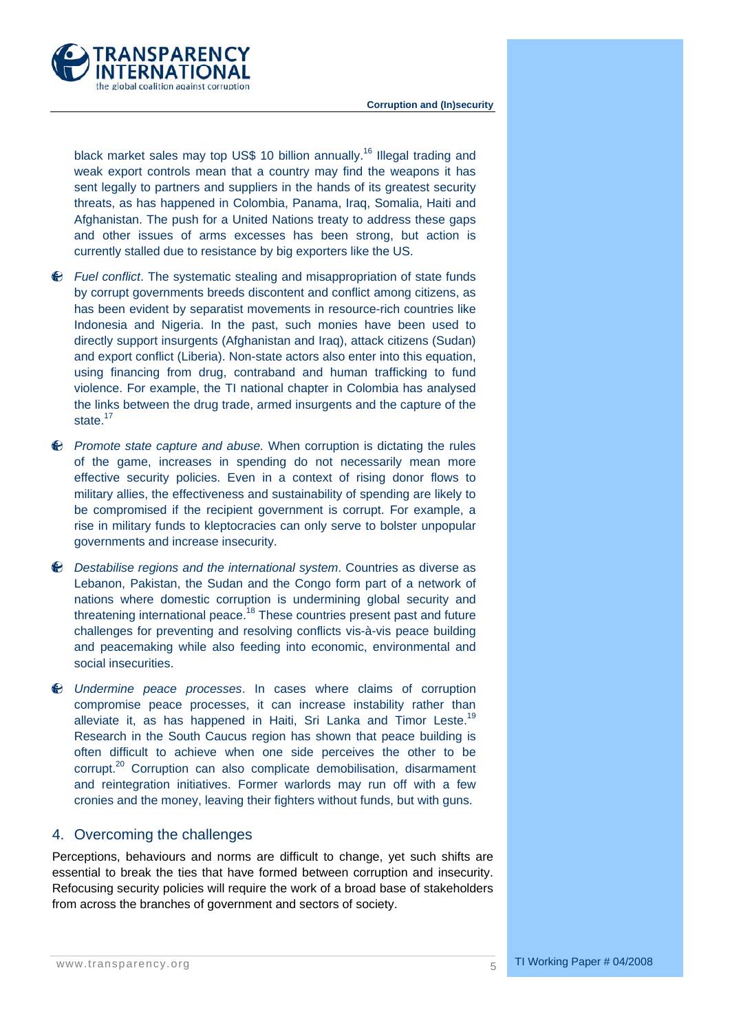

black market sales may top US\$ 10 billion annually.<sup>16</sup> Illegal trading and weak export controls mean that a country may find the weapons it has sent legally to partners and suppliers in the hands of its greatest security threats, as has happened in Colombia, Panama, Iraq, Somalia, Haiti and Afghanistan. The push for a United Nations treaty to address these gaps and other issues of arms excesses has been strong, but action is currently stalled due to resistance by big exporters like the US.

- *Fuel conflict*. The systematic stealing and misappropriation of state funds by corrupt governments breeds discontent and conflict among citizens, as has been evident by separatist movements in resource-rich countries like Indonesia and Nigeria. In the past, such monies have been used to directly support insurgents (Afghanistan and Iraq), attack citizens (Sudan) and export conflict (Liberia). Non-state actors also enter into this equation, using financing from drug, contraband and human trafficking to fund violence. For example, the TI national chapter in Colombia has analysed the links between the drug trade, armed insurgents and the capture of the state.<sup>17</sup>
- *Promote state capture and abuse.* When corruption is dictating the rules of the game, increases in spending do not necessarily mean more effective security policies. Even in a context of rising donor flows to military allies, the effectiveness and sustainability of spending are likely to be compromised if the recipient government is corrupt. For example, a rise in military funds to kleptocracies can only serve to bolster unpopular governments and increase insecurity.
- *Destabilise regions and the international system*. Countries as diverse as Lebanon, Pakistan, the Sudan and the Congo form part of a network of nations where domestic corruption is undermining global security and threatening international peace.<sup>18</sup> These countries present past and future challenges for preventing and resolving conflicts vis-à-vis peace building and peacemaking while also feeding into economic, environmental and social insecurities.
- *Undermine peace processes*. In cases where claims of corruption compromise peace processes, it can increase instability rather than alleviate it, as has happened in Haiti, Sri Lanka and Timor Leste.<sup>19</sup> Research in the South Caucus region has shown that peace building is often difficult to achieve when one side perceives the other to be corrupt.<sup>20</sup> Corruption can also complicate demobilisation, disarmament and reintegration initiatives. Former warlords may run off with a few cronies and the money, leaving their fighters without funds, but with guns.

# 4. Overcoming the challenges

Perceptions, behaviours and norms are difficult to change, yet such shifts are essential to break the ties that have formed between corruption and insecurity. Refocusing security policies will require the work of a broad base of stakeholders from across the branches of government and sectors of society.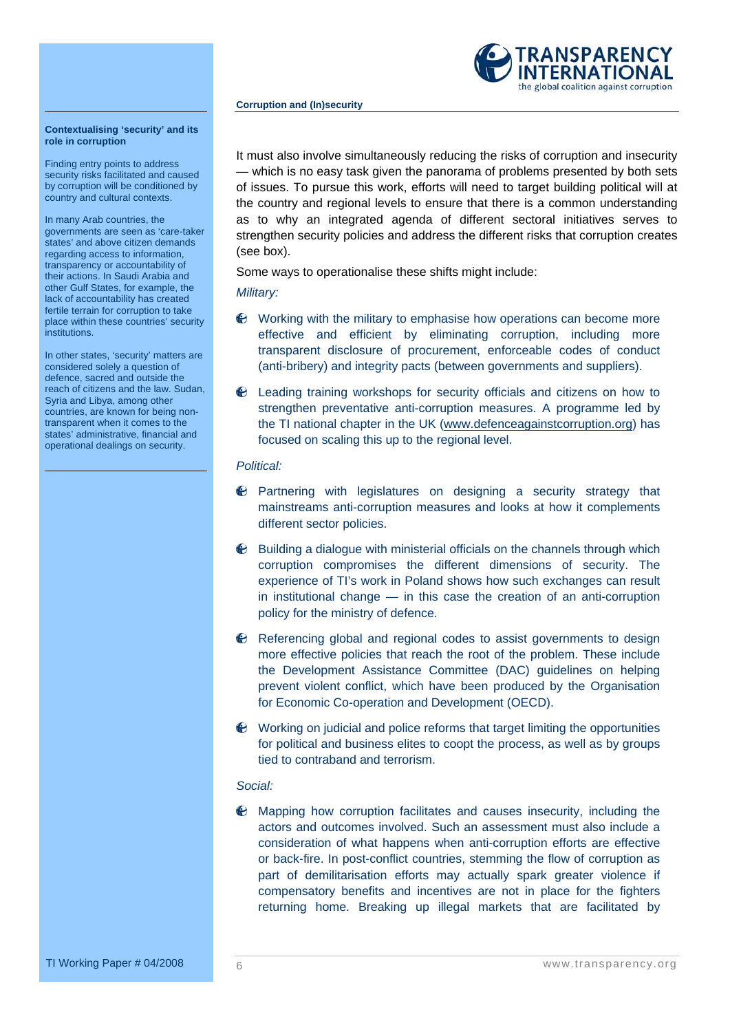

#### **Contextualising 'security' and its role in corruption**

Finding entry points to address security risks facilitated and caused by corruption will be conditioned by country and cultural contexts.

In many Arab countries, the governments are seen as 'care-taker states' and above citizen demands regarding access to information, transparency or accountability of their actions. In Saudi Arabia and other Gulf States, for example, the lack of accountability has created fertile terrain for corruption to take place within these countries' security institutions.

In other states, 'security' matters are considered solely a question of defence, sacred and outside the reach of citizens and the law. Sudan, Syria and Libya, among other countries, are known for being nontransparent when it comes to the states' administrative, financial and operational dealings on security.

It must also involve simultaneously reducing the risks of corruption and insecurity — which is no easy task given the panorama of problems presented by both sets of issues. To pursue this work, efforts will need to target building political will at the country and regional levels to ensure that there is a common understanding as to why an integrated agenda of different sectoral initiatives serves to strengthen security policies and address the different risks that corruption creates (see box).

Some ways to operationalise these shifts might include:

*Military:* 

- $\bullet$  Working with the military to emphasise how operations can become more effective and efficient by eliminating corruption, including more transparent disclosure of procurement, enforceable codes of conduct (anti-bribery) and integrity pacts (between governments and suppliers).
- Leading training workshops for security officials and citizens on how to strengthen preventative anti-corruption measures. A programme led by the TI national chapter in the UK (www.defenceagainstcorruption.org) has focused on scaling this up to the regional level.

# *Political:*

- $\bullet$  Partnering with legislatures on designing a security strategy that mainstreams anti-corruption measures and looks at how it complements different sector policies.
- $\bullet$  Building a dialogue with ministerial officials on the channels through which corruption compromises the different dimensions of security. The experience of TI's work in Poland shows how such exchanges can result in institutional change — in this case the creation of an anti-corruption policy for the ministry of defence.
- $\bullet$  Referencing global and regional codes to assist governments to design more effective policies that reach the root of the problem. These include the Development Assistance Committee (DAC) guidelines on helping prevent violent conflict, which have been produced by the Organisation for Economic Co-operation and Development (OECD).
- Working on judicial and police reforms that target limiting the opportunities for political and business elites to coopt the process, as well as by groups tied to contraband and terrorism.

# *Social:*

Mapping how corruption facilitates and causes insecurity, including the actors and outcomes involved. Such an assessment must also include a consideration of what happens when anti-corruption efforts are effective or back-fire. In post-conflict countries, stemming the flow of corruption as part of demilitarisation efforts may actually spark greater violence if compensatory benefits and incentives are not in place for the fighters returning home. Breaking up illegal markets that are facilitated by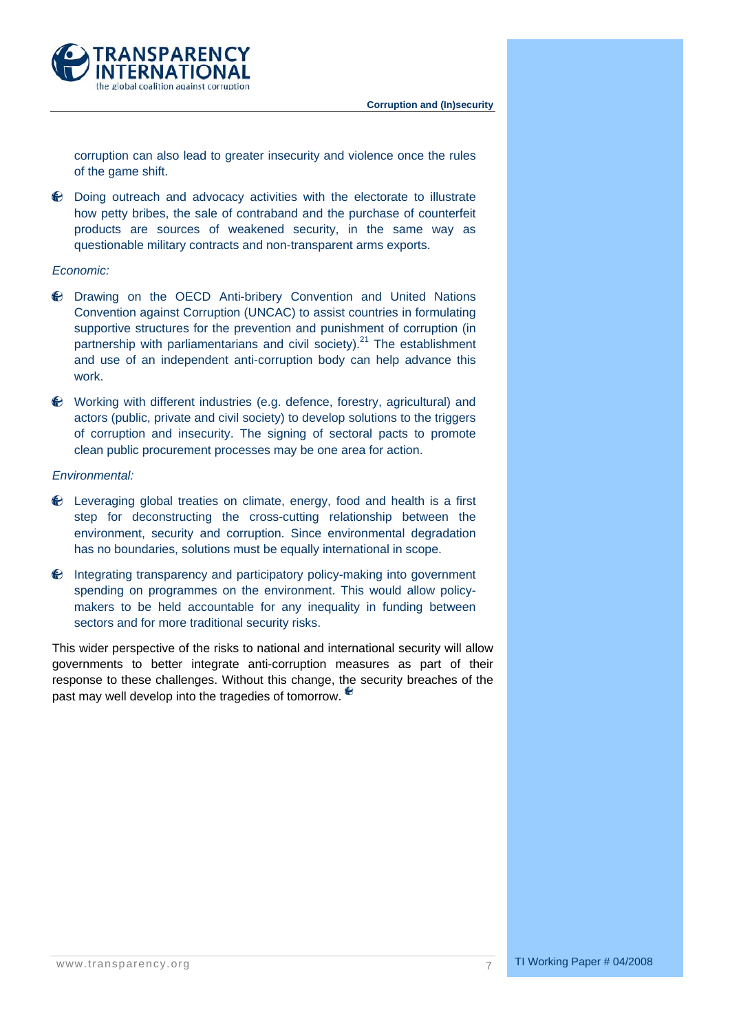

corruption can also lead to greater insecurity and violence once the rules of the game shift.

Doing outreach and advocacy activities with the electorate to illustrate how petty bribes, the sale of contraband and the purchase of counterfeit products are sources of weakened security, in the same way as questionable military contracts and non-transparent arms exports.

# *Economic:*

- Drawing on the OECD Anti-bribery Convention and United Nations Convention against Corruption (UNCAC) to assist countries in formulating supportive structures for the prevention and punishment of corruption (in partnership with parliamentarians and civil society). $^{21}$  The establishment and use of an independent anti-corruption body can help advance this work.
- Working with different industries (e.g. defence, forestry, agricultural) and actors (public, private and civil society) to develop solutions to the triggers of corruption and insecurity. The signing of sectoral pacts to promote clean public procurement processes may be one area for action.

# *Environmental:*

- Leveraging global treaties on climate, energy, food and health is a first step for deconstructing the cross-cutting relationship between the environment, security and corruption. Since environmental degradation has no boundaries, solutions must be equally international in scope.
- $\Theta$  Integrating transparency and participatory policy-making into government spending on programmes on the environment. This would allow policymakers to be held accountable for any inequality in funding between sectors and for more traditional security risks.

This wider perspective of the risks to national and international security will allow governments to better integrate anti-corruption measures as part of their response to these challenges. Without this change, the security breaches of the past may well develop into the tragedies of tomorrow.